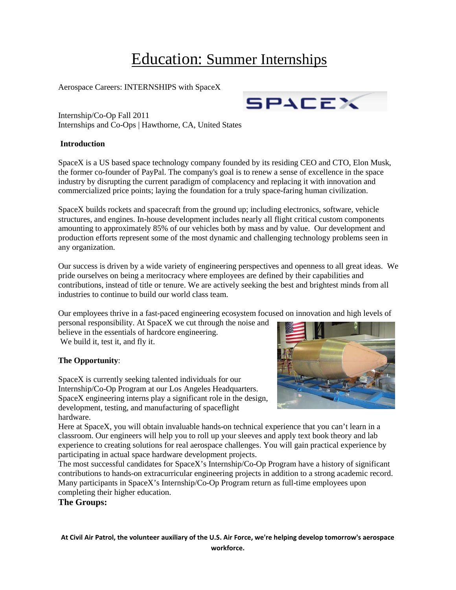# Education: Summer Internships

Aerospace Careers: INTERNSHIPS with SpaceX

Internship/Co-Op Fall 2011 Internships and Co-Ops | Hawthorne, CA, United States

#### **Introduction**

SpaceX is a US based space technology company founded by its residing CEO and CTO, Elon Musk, the former co-founder of PayPal. The company's goal is to renew a sense of excellence in the space industry by disrupting the current paradigm of complacency and replacing it with innovation and commercialized price points; laying the foundation for a truly space-faring human civilization.

SpaceX builds rockets and spacecraft from the ground up; including electronics, software, vehicle structures, and engines. In-house development includes nearly all flight critical custom components amounting to approximately 85% of our vehicles both by mass and by value. Our development and production efforts represent some of the most dynamic and challenging technology problems seen in any organization.

Our success is driven by a wide variety of engineering perspectives and openness to all great ideas. We pride ourselves on being a meritocracy where employees are defined by their capabilities and contributions, instead of title or tenure. We are actively seeking the best and brightest minds from all industries to continue to build our world class team.

Our employees thrive in a fast-paced engineering ecosystem focused on innovation and high levels of

personal responsibility. At SpaceX we cut through the noise and believe in the essentials of hardcore engineering. We build it, test it, and fly it.

## **The Opportunity**:

SpaceX is currently seeking talented individuals for our Internship/Co-Op Program at our Los Angeles Headquarters. SpaceX engineering interns play a significant role in the design, development, testing, and manufacturing of spaceflight hardware.



Here at SpaceX, you will obtain invaluable hands-on technical experience that you can't learn in a classroom. Our engineers will help you to roll up your sleeves and apply text book theory and lab experience to creating solutions for real aerospace challenges. You will gain practical experience by participating in actual space hardware development projects.

The most successful candidates for SpaceX's Internship/Co-Op Program have a history of significant contributions to hands-on extracurricular engineering projects in addition to a strong academic record. Many participants in SpaceX's Internship/Co-Op Program return as full-time employees upon completing their higher education.

**The Groups:** 

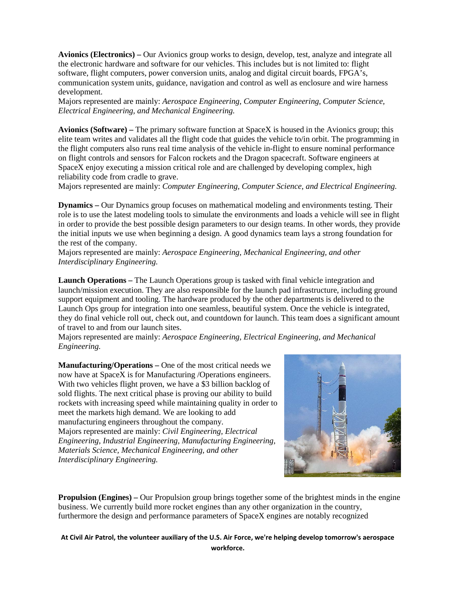**Avionics (Electronics) –** Our Avionics group works to design, develop, test, analyze and integrate all the electronic hardware and software for our vehicles. This includes but is not limited to: flight software, flight computers, power conversion units, analog and digital circuit boards, FPGA's, communication system units, guidance, navigation and control as well as enclosure and wire harness development.

Majors represented are mainly: *Aerospace Engineering, Computer Engineering, Computer Science, Electrical Engineering, and Mechanical Engineering.*

**Avionics (Software) –** The primary software function at SpaceX is housed in the Avionics group; this elite team writes and validates all the flight code that guides the vehicle to/in orbit. The programming in the flight computers also runs real time analysis of the vehicle in-flight to ensure nominal performance on flight controls and sensors for Falcon rockets and the Dragon spacecraft. Software engineers at SpaceX enjoy executing a mission critical role and are challenged by developing complex, high reliability code from cradle to grave.

Majors represented are mainly: *Computer Engineering, Computer Science, and Electrical Engineering.*

**Dynamics –** Our Dynamics group focuses on mathematical modeling and environments testing. Their role is to use the latest modeling tools to simulate the environments and loads a vehicle will see in flight in order to provide the best possible design parameters to our design teams. In other words, they provide the initial inputs we use when beginning a design. A good dynamics team lays a strong foundation for the rest of the company.

Majors represented are mainly: *Aerospace Engineering, Mechanical Engineering, and other Interdisciplinary Engineering.*

**Launch Operations –** The Launch Operations group is tasked with final vehicle integration and launch/mission execution. They are also responsible for the launch pad infrastructure, including ground support equipment and tooling. The hardware produced by the other departments is delivered to the Launch Ops group for integration into one seamless, beautiful system. Once the vehicle is integrated, they do final vehicle roll out, check out, and countdown for launch. This team does a significant amount of travel to and from our launch sites.

Majors represented are mainly: *Aerospace Engineering, Electrical Engineering, and Mechanical Engineering.*

**Manufacturing/Operations –** One of the most critical needs we now have at SpaceX is for Manufacturing /Operations engineers. With two vehicles flight proven, we have a \$3 billion backlog of sold flights. The next critical phase is proving our ability to build rockets with increasing speed while maintaining quality in order to meet the markets high demand. We are looking to add manufacturing engineers throughout the company. Majors represented are mainly: *Civil Engineering, Electrical Engineering, Industrial Engineering, Manufacturing Engineering, Materials Science, Mechanical Engineering, and other Interdisciplinary Engineering.*



**Propulsion (Engines) –** Our Propulsion group brings together some of the brightest minds in the engine business. We currently build more rocket engines than any other organization in the country, furthermore the design and performance parameters of SpaceX engines are notably recognized

**At Civil Air Patrol, the volunteer auxiliary of the U.S. Air Force, we're helping develop tomorrow's aerospace workforce.**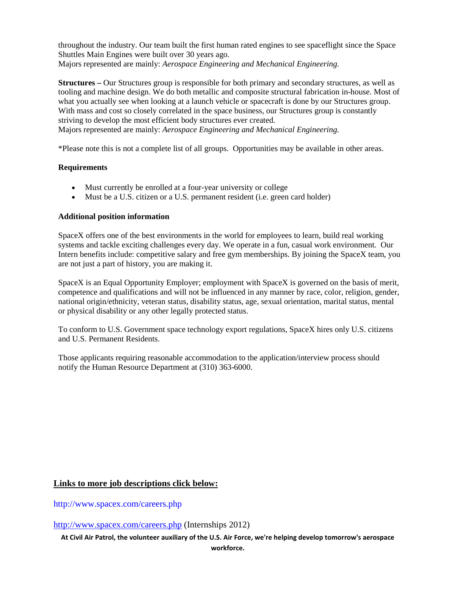throughout the industry. Our team built the first human rated engines to see spaceflight since the Space Shuttles Main Engines were built over 30 years ago. Majors represented are mainly: *Aerospace Engineering and Mechanical Engineering.*

**Structures –** Our Structures group is responsible for both primary and secondary structures, as well as tooling and machine design. We do both metallic and composite structural fabrication in-house. Most of what you actually see when looking at a launch vehicle or spacecraft is done by our Structures group. With mass and cost so closely correlated in the space business, our Structures group is constantly striving to develop the most efficient body structures ever created.

Majors represented are mainly: *Aerospace Engineering and Mechanical Engineering.*

\*Please note this is not a complete list of all groups. Opportunities may be available in other areas.

#### **Requirements**

- Must currently be enrolled at a four-year university or college
- Must be a U.S. citizen or a U.S. permanent resident (i.e. green card holder)

#### **Additional position information**

SpaceX offers one of the best environments in the world for employees to learn, build real working systems and tackle exciting challenges every day. We operate in a fun, casual work environment. Our Intern benefits include: competitive salary and free gym memberships. By joining the SpaceX team, you are not just a part of history, you are making it.

SpaceX is an Equal Opportunity Employer; employment with SpaceX is governed on the basis of merit, competence and qualifications and will not be influenced in any manner by race, color, religion, gender, national origin/ethnicity, veteran status, disability status, age, sexual orientation, marital status, mental or physical disability or any other legally protected status.

To conform to U.S. Government space technology export regulations, SpaceX hires only U.S. citizens and U.S. Permanent Residents.

Those applicants requiring reasonable accommodation to the application/interview process should notify the Human Resource Department at (310) 363-6000.

## **Links to more job descriptions click below:**

<http://www.spacex.com/careers.php>

<http://www.spacex.com/careers.php> (Internships 2012)

**At Civil Air Patrol, the volunteer auxiliary of the U.S. Air Force, we're helping develop tomorrow's aerospace**